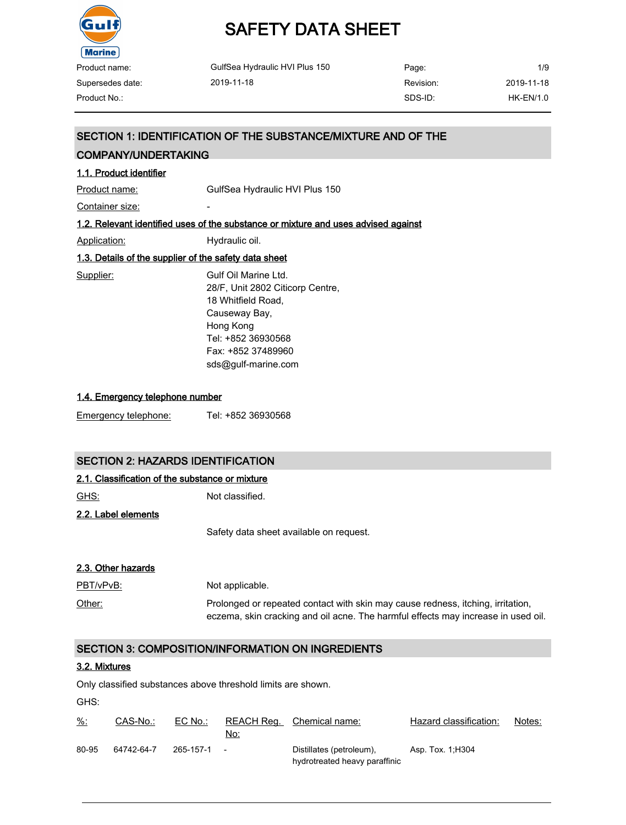

| Product name:    | GulfSea Hydraulic HVI Plus 150 | Page:     | 1/9         |
|------------------|--------------------------------|-----------|-------------|
| Supersedes date: | 2019-11-18                     | Revision: | 2019-11-18  |
| Product No.:     |                                | SDS-ID:   | $HK-EN/1.0$ |

#### SECTION 1: IDENTIFICATION OF THE SUBSTANCE/MIXTURE AND OF THE

#### COMPANY/UNDERTAKING

### 1.1. Product identifier Product name: GulfSea Hydraulic HVI Plus 150 Container size: The container size: 1.2. Relevant identified uses of the substance or mixture and uses advised against Application: Hydraulic oil. 1.3. Details of the supplier of the safety data sheet Supplier: Gulf Oil Marine Ltd. 28/F, Unit 2802 Citicorp Centre, 18 Whitfield Road, Causeway Bay, Hong Kong Tel: +852 36930568 Fax: +852 37489960 sds@gulf-marine.com

#### 1.4. Emergency telephone number

|--|

#### SECTION 2: HAZARDS IDENTIFICATION

#### 2.1. Classification of the substance or mixture

GHS: Not classified.

2.2. Label elements

Safety data sheet available on request.

#### 2.3. Other hazards

| <u>PBT/vPvB:</u> | Not applicable.                                                                   |
|------------------|-----------------------------------------------------------------------------------|
| Other:           | Prolonged or repeated contact with skin may cause redness, itching, irritation,   |
|                  | eczema, skin cracking and oil acne. The harmful effects may increase in used oil. |

#### SECTION 3: COMPOSITION/INFORMATION ON INGREDIENTS

#### 3.2. Mixtures

Only classified substances above threshold limits are shown.

GHS:

| <u>%:</u> | CAS-No.:   | EC No.:     | No: | REACH Reg. Chemical name:                                 | Hazard classification: | Notes: |
|-----------|------------|-------------|-----|-----------------------------------------------------------|------------------------|--------|
| 80-95     | 64742-64-7 | 265-157-1 - |     | Distillates (petroleum),<br>hydrotreated heavy paraffinic | Asp. Tox. 1, H304      |        |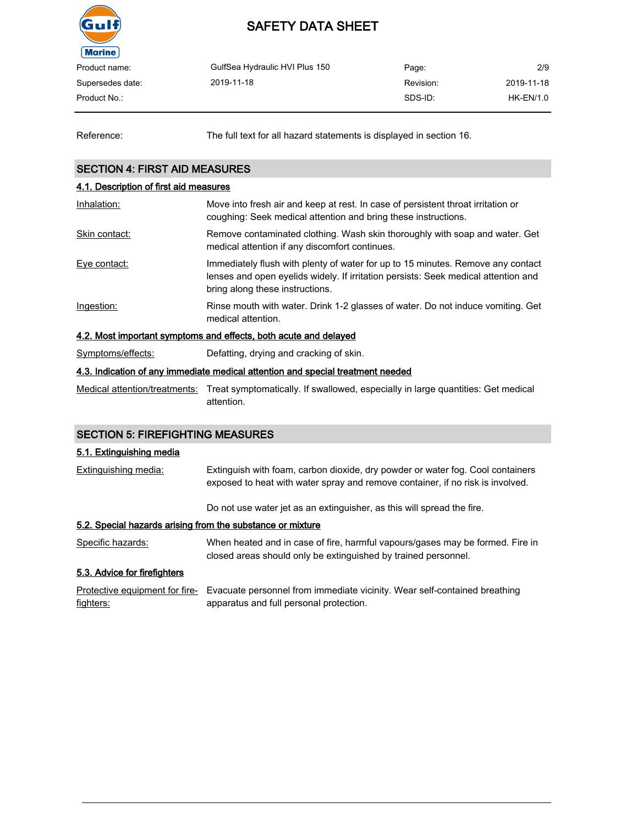

| Product name:    | GulfSea Hydraulic HVI Plus 150 | Page:     | 2/9         |
|------------------|--------------------------------|-----------|-------------|
| Supersedes date: | 2019-11-18                     | Revision: | 2019-11-18  |
| Product No.:     |                                | SDS-ID:   | $HK-EN/1.0$ |
|                  |                                |           |             |

Reference: The full text for all hazard statements is displayed in section 16.

#### SECTION 4: FIRST AID MEASURES

### 4.1. Description of first aid measures Inhalation: Move into fresh air and keep at rest. In case of persistent throat irritation or coughing: Seek medical attention and bring these instructions. Skin contact: Remove contaminated clothing. Wash skin thoroughly with soap and water. Get medical attention if any discomfort continues. Eye contact: Immediately flush with plenty of water for up to 15 minutes. Remove any contact lenses and open eyelids widely. If irritation persists: Seek medical attention and bring along these instructions. Ingestion: Rinse mouth with water. Drink 1-2 glasses of water. Do not induce vomiting. Get medical attention. 4.2. Most important symptoms and effects, both acute and delayed Symptoms/effects: Defatting, drying and cracking of skin. 4.3. Indication of any immediate medical attention and special treatment needed Medical attention/treatments: Treat symptomatically. If swallowed, especially in large quantities: Get medical

### SECTION 5: FIREFIGHTING MEASURES

attention.

#### 5.1. Extinguishing media

| Extinguishing media:                                       | Extinguish with foam, carbon dioxide, dry powder or water fog. Cool containers<br>exposed to heat with water spray and remove container, if no risk is involved. |
|------------------------------------------------------------|------------------------------------------------------------------------------------------------------------------------------------------------------------------|
|                                                            | Do not use water jet as an extinguisher, as this will spread the fire.                                                                                           |
| 5.2. Special hazards arising from the substance or mixture |                                                                                                                                                                  |
| Specific hazards:                                          | When heated and in case of fire, harmful vapours/gases may be formed. Fire in<br>closed areas should only be extinguished by trained personnel.                  |
| 5.3. Advice for firefighters                               |                                                                                                                                                                  |

Protective equipment for fire- Evacuate personnel from immediate vicinity. Wear self-contained breathing fighters: apparatus and full personal protection.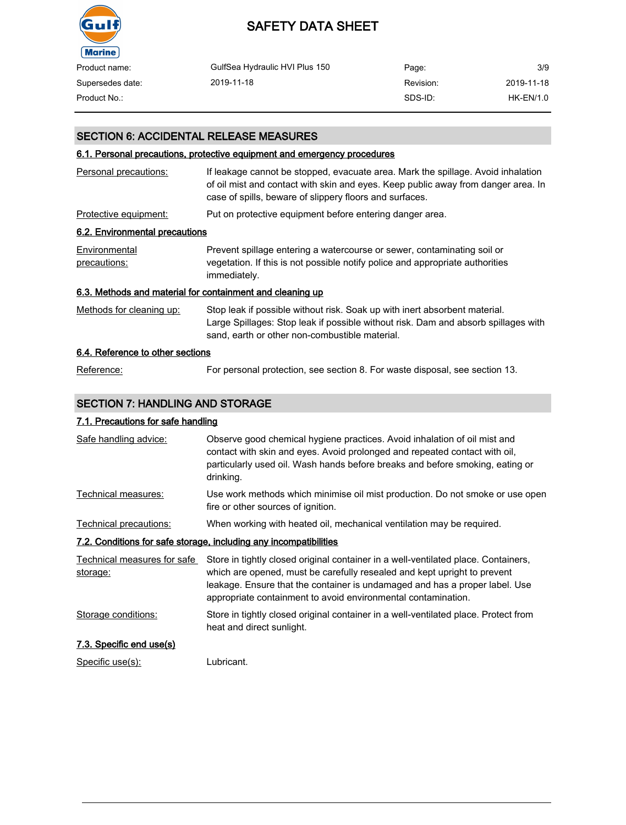

| Product name:    | GulfSea Hydraulic HVI Plus 150 | Page:     | 3/9        |
|------------------|--------------------------------|-----------|------------|
| Supersedes date: | 2019-11-18                     | Revision: | 2019-11-18 |
| Product No.:     |                                | SDS-ID:   | HK-EN/1.0  |

#### SECTION 6: ACCIDENTAL RELEASE MEASURES

#### 6.1. Personal precautions, protective equipment and emergency procedures

| Personal precautions:                                     | If leakage cannot be stopped, evacuate area. Mark the spillage. Avoid inhalation<br>of oil mist and contact with skin and eyes. Keep public away from danger area. In<br>case of spills, beware of slippery floors and surfaces. |
|-----------------------------------------------------------|----------------------------------------------------------------------------------------------------------------------------------------------------------------------------------------------------------------------------------|
| Protective equipment:                                     | Put on protective equipment before entering danger area.                                                                                                                                                                         |
| 6.2. Environmental precautions                            |                                                                                                                                                                                                                                  |
| Environmental<br>precautions:                             | Prevent spillage entering a watercourse or sewer, contaminating soil or<br>vegetation. If this is not possible notify police and appropriate authorities<br>immediately.                                                         |
| 6.3. Methods and material for containment and cleaning up |                                                                                                                                                                                                                                  |
| Methods for cleaning up:                                  | Stop leak if possible without risk. Soak up with inert absorbent material.<br>Large Spillages: Stop leak if possible without risk. Dam and absorb spillages with<br>sand, earth or other non-combustible material.               |
| 6.4. Reference to other sections                          |                                                                                                                                                                                                                                  |
| Reference:                                                | For personal protection, see section 8. For waste disposal, see section 13.                                                                                                                                                      |

#### SECTION 7: HANDLING AND STORAGE

#### 7.1. Precautions for safe handling

| Safe handling advice:                   | Observe good chemical hygiene practices. Avoid inhalation of oil mist and<br>contact with skin and eyes. Avoid prolonged and repeated contact with oil,<br>particularly used oil. Wash hands before breaks and before smoking, eating or<br>drinking.                                                          |
|-----------------------------------------|----------------------------------------------------------------------------------------------------------------------------------------------------------------------------------------------------------------------------------------------------------------------------------------------------------------|
| Technical measures:                     | Use work methods which minimise oil mist production. Do not smoke or use open<br>fire or other sources of ignition.                                                                                                                                                                                            |
| Technical precautions:                  | When working with heated oil, mechanical ventilation may be required.                                                                                                                                                                                                                                          |
|                                         | 7.2. Conditions for safe storage, including any incompatibilities                                                                                                                                                                                                                                              |
| Technical measures for safe<br>storage: | Store in tightly closed original container in a well-ventilated place. Containers,<br>which are opened, must be carefully resealed and kept upright to prevent<br>leakage. Ensure that the container is undamaged and has a proper label. Use<br>appropriate containment to avoid environmental contamination. |
| Storage conditions:                     | Store in tightly closed original container in a well-ventilated place. Protect from<br>heat and direct sunlight.                                                                                                                                                                                               |
| 7.3. Specific end use(s)                |                                                                                                                                                                                                                                                                                                                |
| Specific use(s):                        | Lubricant.                                                                                                                                                                                                                                                                                                     |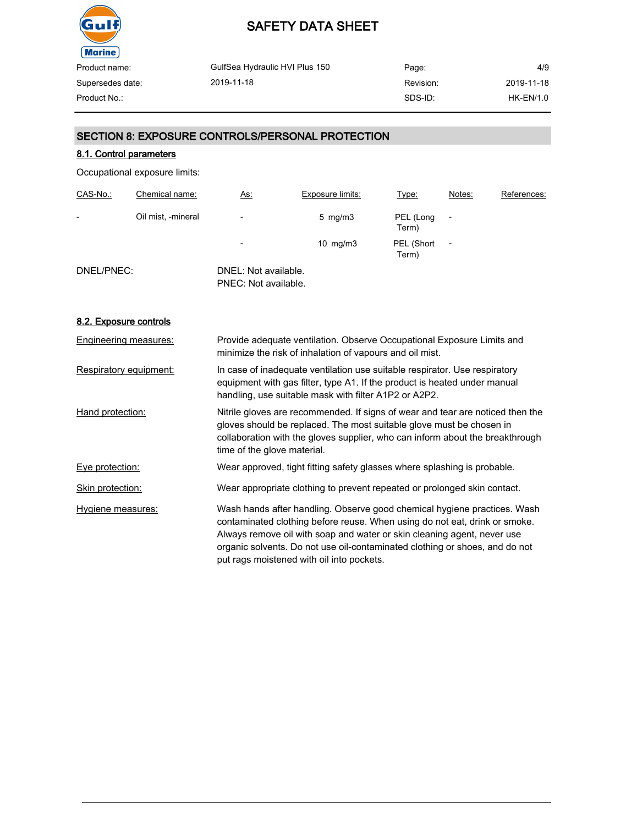

| Product name:    | GulfSea Hydraulic HVI Plus 150 | Page:     | 4/9              |
|------------------|--------------------------------|-----------|------------------|
| Supersedes date: | 2019-11-18                     | Revision: | 2019-11-18       |
| Product No.:     |                                | SDS-ID:   | <b>HK-EN/1.0</b> |
|                  |                                |           |                  |

#### SECTION 8: EXPOSURE CONTROLS/PERSONAL PROTECTION

#### 8.1. Control parameters

Occupational exposure limits:

| CAS-No.:   | Chemical name:     | <u>As:</u>                                   | <b>Exposure limits:</b> | Type:               | Notes: | References: |
|------------|--------------------|----------------------------------------------|-------------------------|---------------------|--------|-------------|
| -          | Oil mist, -mineral | $\overline{\phantom{0}}$                     | $5 \text{ mg/m}$ 3      | PEL (Long<br>Term)  |        |             |
|            |                    | $\overline{\phantom{0}}$                     | 10 $mg/m3$              | PEL (Short<br>Term) | ٠      |             |
| DNEL/PNEC: |                    | DNEL: Not available.<br>PNEC: Not available. |                         |                     |        |             |

#### 8.2. Exposure controls

| Engineering measures:  | Provide adequate ventilation. Observe Occupational Exposure Limits and<br>minimize the risk of inhalation of vapours and oil mist.                                                                                                                                                                                                                            |
|------------------------|---------------------------------------------------------------------------------------------------------------------------------------------------------------------------------------------------------------------------------------------------------------------------------------------------------------------------------------------------------------|
| Respiratory equipment: | In case of inadequate ventilation use suitable respirator. Use respiratory<br>equipment with gas filter, type A1. If the product is heated under manual<br>handling, use suitable mask with filter A1P2 or A2P2.                                                                                                                                              |
| Hand protection:       | Nitrile gloves are recommended. If signs of wear and tear are noticed then the<br>gloves should be replaced. The most suitable glove must be chosen in<br>collaboration with the gloves supplier, who can inform about the breakthrough<br>time of the glove material.                                                                                        |
| Eye protection:        | Wear approved, tight fitting safety glasses where splashing is probable.                                                                                                                                                                                                                                                                                      |
| Skin protection:       | Wear appropriate clothing to prevent repeated or prolonged skin contact.                                                                                                                                                                                                                                                                                      |
| Hygiene measures:      | Wash hands after handling. Observe good chemical hygiene practices. Wash<br>contaminated clothing before reuse. When using do not eat, drink or smoke.<br>Always remove oil with soap and water or skin cleaning agent, never use<br>organic solvents. Do not use oil-contaminated clothing or shoes, and do not<br>put rags moistened with oil into pockets. |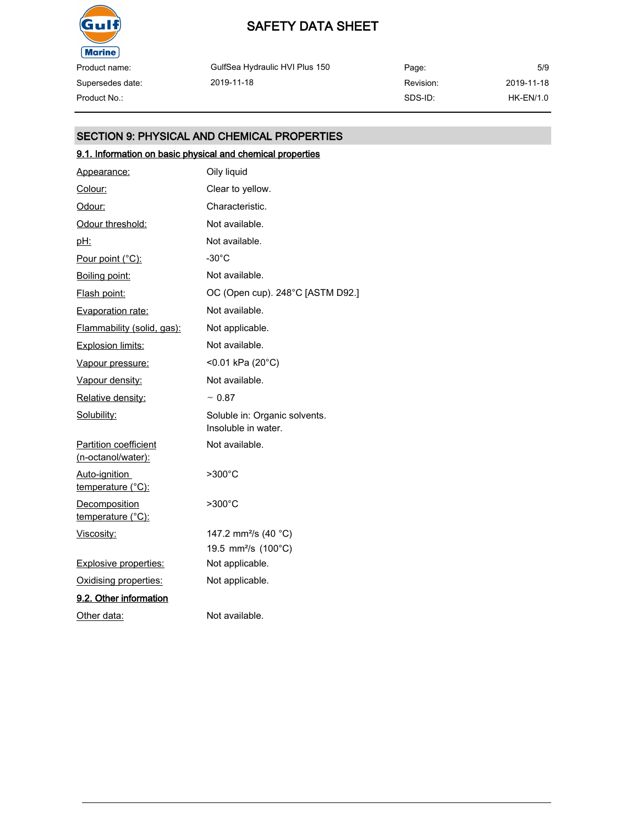

Supersedes date:

### SAFETY DATA SHEET

GulfSea Hydraulic HVI Plus 150 2019-11-18

Page: Revision: SDS-ID: 5/9 2019-11-18 Product No.: HK-EN/1.0

#### SECTION 9: PHYSICAL AND CHEMICAL PROPERTIES

### 9.1. Information on basic physical and chemical properties

| Appearance:                                 | Oily liquid                                          |
|---------------------------------------------|------------------------------------------------------|
| Colour:                                     | Clear to yellow.                                     |
| Odour:                                      | Characteristic.                                      |
| Odour threshold:                            | Not available.                                       |
| <u>pH:</u>                                  | Not available.                                       |
| Pour point (°C):                            | $-30^{\circ}$ C                                      |
| Boiling point:                              | Not available.                                       |
| Flash point:                                | OC (Open cup). 248°C [ASTM D92.]                     |
| Evaporation rate:                           | Not available.                                       |
| Flammability (solid, gas):                  | Not applicable.                                      |
| <b>Explosion limits:</b>                    | Not available.                                       |
| Vapour pressure:                            | <0.01 kPa (20°C)                                     |
| Vapour density:                             | Not available.                                       |
| Relative density:                           | $~\sim 0.87$                                         |
| Solubility:                                 | Soluble in: Organic solvents.<br>Insoluble in water. |
| Partition coefficient<br>(n-octanol/water): | Not available.                                       |
| Auto-ignition<br>temperature (°C):          | >300°C                                               |
| Decomposition<br>temperature (°C):          | $>300^{\circ}$ C                                     |
| Viscosity:                                  | 147.2 mm <sup>2</sup> /s (40 °C)                     |
|                                             | 19.5 mm <sup>2</sup> /s (100°C)                      |
| <b>Explosive properties:</b>                | Not applicable.                                      |
| Oxidising properties:                       | Not applicable.                                      |
| 9.2. Other information                      |                                                      |
| Other data:                                 | Not available.                                       |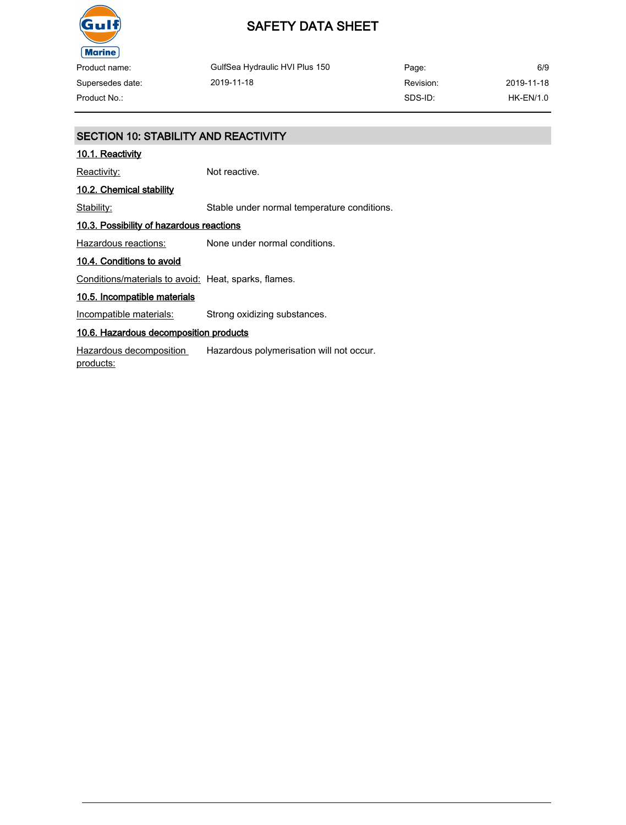

Product name: Supersedes date:

GulfSea Hydraulic HVI Plus 150 2019-11-18

Page: Revision: SDS-ID: 6/9 2019-11-18 Product No.: HK-EN/1.0

#### SECTION 10: STABILITY AND REACTIVITY

#### 10.1. Reactivity

Reactivity: Not reactive.

#### 10.2. Chemical stability

Stability: Stable under normal temperature conditions.

#### 10.3. Possibility of hazardous reactions

Hazardous reactions: None under normal conditions.

#### 10.4. Conditions to avoid

Conditions/materials to avoid: Heat, sparks, flames.

#### 10.5. Incompatible materials

Incompatible materials: Strong oxidizing substances.

#### 10.6. Hazardous decomposition products

Hazardous decomposition products: Hazardous polymerisation will not occur.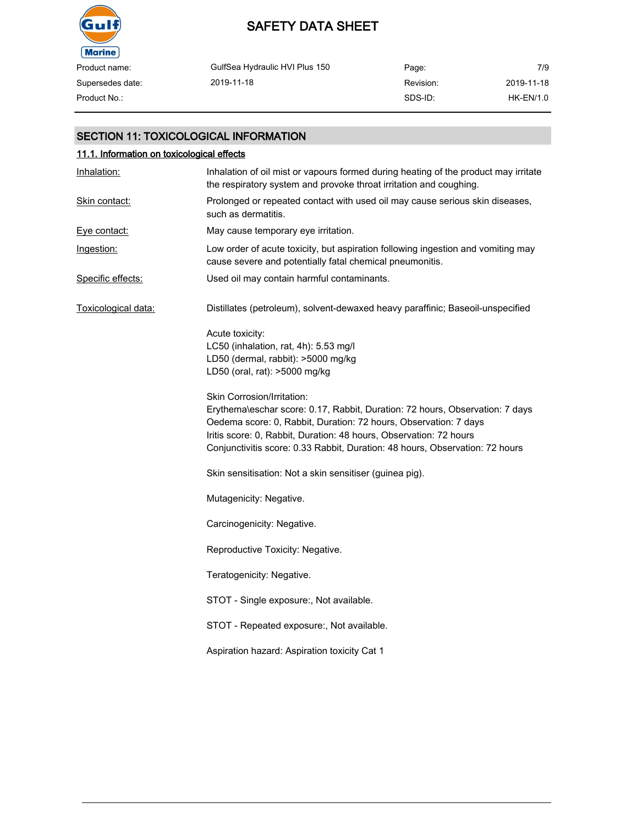

### SAFETY DATA SHEET

| Product name:    | GulfSea Hydraulic HVI Plus 150 | Page:     | 7/9        |
|------------------|--------------------------------|-----------|------------|
| Supersedes date: | 2019-11-18                     | Revision: | 2019-11-18 |
| Product No.:     |                                | SDS-ID:   | HK-EN/1.0  |

#### SECTION 11: TOXICOLOGICAL INFORMATION

| 11.1. Information on toxicological effects |                                                                                                                                                                                                                                                                                                                                      |  |
|--------------------------------------------|--------------------------------------------------------------------------------------------------------------------------------------------------------------------------------------------------------------------------------------------------------------------------------------------------------------------------------------|--|
| Inhalation:                                | Inhalation of oil mist or vapours formed during heating of the product may irritate<br>the respiratory system and provoke throat irritation and coughing.                                                                                                                                                                            |  |
| Skin contact:                              | Prolonged or repeated contact with used oil may cause serious skin diseases,<br>such as dermatitis.                                                                                                                                                                                                                                  |  |
| Eve contact:                               | May cause temporary eye irritation.                                                                                                                                                                                                                                                                                                  |  |
| Ingestion:                                 | Low order of acute toxicity, but aspiration following ingestion and vomiting may<br>cause severe and potentially fatal chemical pneumonitis.                                                                                                                                                                                         |  |
| Specific effects:                          | Used oil may contain harmful contaminants.                                                                                                                                                                                                                                                                                           |  |
| Toxicological data:                        | Distillates (petroleum), solvent-dewaxed heavy paraffinic; Baseoil-unspecified                                                                                                                                                                                                                                                       |  |
|                                            | Acute toxicity:<br>LC50 (inhalation, rat, 4h): 5.53 mg/l<br>LD50 (dermal, rabbit): >5000 mg/kg<br>LD50 (oral, rat): >5000 mg/kg                                                                                                                                                                                                      |  |
|                                            | Skin Corrosion/Irritation:<br>Erythema\eschar score: 0.17, Rabbit, Duration: 72 hours, Observation: 7 days<br>Oedema score: 0, Rabbit, Duration: 72 hours, Observation: 7 days<br>Iritis score: 0, Rabbit, Duration: 48 hours, Observation: 72 hours<br>Conjunctivitis score: 0.33 Rabbit, Duration: 48 hours, Observation: 72 hours |  |
|                                            | Skin sensitisation: Not a skin sensitiser (guinea pig).                                                                                                                                                                                                                                                                              |  |
|                                            | Mutagenicity: Negative.                                                                                                                                                                                                                                                                                                              |  |
|                                            | Carcinogenicity: Negative.                                                                                                                                                                                                                                                                                                           |  |
|                                            | Reproductive Toxicity: Negative.                                                                                                                                                                                                                                                                                                     |  |
|                                            | Teratogenicity: Negative.                                                                                                                                                                                                                                                                                                            |  |
|                                            | STOT - Single exposure:, Not available.                                                                                                                                                                                                                                                                                              |  |
|                                            | STOT - Repeated exposure:, Not available.                                                                                                                                                                                                                                                                                            |  |
|                                            | Aspiration hazard: Aspiration toxicity Cat 1                                                                                                                                                                                                                                                                                         |  |
|                                            |                                                                                                                                                                                                                                                                                                                                      |  |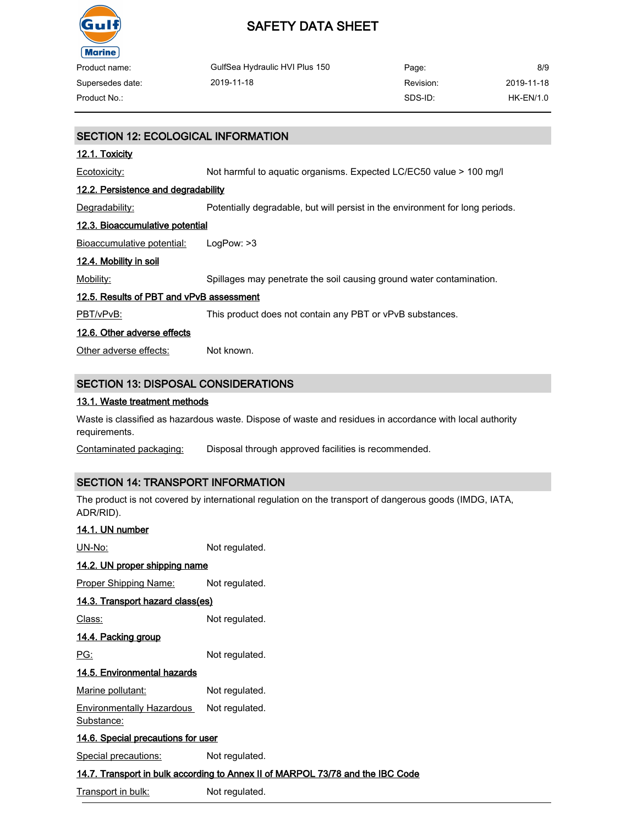

| Product name:    | GulfSea Hydraulic HVI Plus 150 | Page:     | 8/9        |
|------------------|--------------------------------|-----------|------------|
| Supersedes date: | 2019-11-18                     | Revision: | 2019-11-18 |
| Product No.:     |                                | SDS-ID:   | HK-EN/1.0  |

## SECTION 12: ECOLOGICAL INFORMATION 12.1. Toxicity Ecotoxicity: Not harmful to aquatic organisms. Expected LC/EC50 value > 100 mg/l 12.2. Persistence and degradability Degradability: Potentially degradable, but will persist in the environment for long periods. 12.3. Bioaccumulative potential Bioaccumulative potential: LogPow: >3 12.4. Mobility in soil Mobility: Spillages may penetrate the soil causing ground water contamination. 12.5. Results of PBT and vPvB assessment PBT/vPvB: This product does not contain any PBT or vPvB substances. 12.6. Other adverse effects Other adverse effects: Not known. SECTION 13: DISPOSAL CONSIDERATIONS

#### 13.1. Waste treatment methods

Waste is classified as hazardous waste. Dispose of waste and residues in accordance with local authority requirements.

Contaminated packaging: Disposal through approved facilities is recommended.

#### SECTION 14: TRANSPORT INFORMATION

The product is not covered by international regulation on the transport of dangerous goods (IMDG, IATA, ADR/RID).

| 14.1. UN number                                                                |                |  |
|--------------------------------------------------------------------------------|----------------|--|
| UN-No:                                                                         | Not regulated. |  |
| 14.2. UN proper shipping name                                                  |                |  |
| <b>Proper Shipping Name:</b>                                                   | Not regulated. |  |
| 14.3. Transport hazard class(es)                                               |                |  |
| Class:                                                                         | Not regulated. |  |
| 14.4. Packing group                                                            |                |  |
| PG:                                                                            | Not regulated. |  |
| 14.5. Environmental hazards                                                    |                |  |
| Marine pollutant:                                                              | Not regulated. |  |
| Environmentally Hazardous<br>Substance:                                        | Not regulated. |  |
| <u>14.6. Special precautions for user</u>                                      |                |  |
| Special precautions:                                                           | Not regulated. |  |
| 14.7. Transport in bulk according to Annex II of MARPOL 73/78 and the IBC Code |                |  |

Transport in bulk: Not regulated.